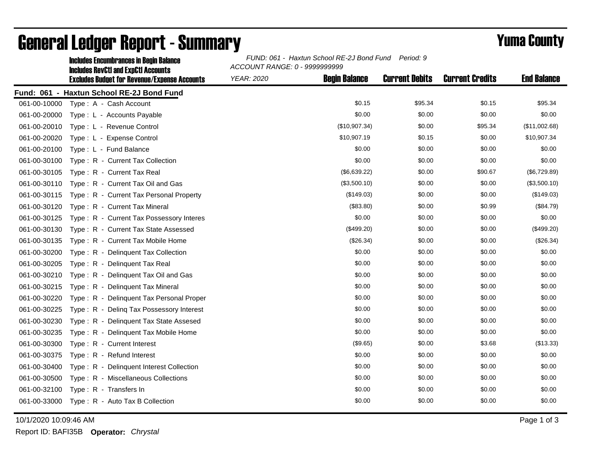|              | <b>Includes Encumbrances in Begin Balance</b>                                                     | FUND: 061 - Haxtun School RE-2J Bond Fund Period: 9<br>ACCOUNT RANGE: 0 - 9999999999 |                      |                       |                        |                    |  |
|--------------|---------------------------------------------------------------------------------------------------|--------------------------------------------------------------------------------------|----------------------|-----------------------|------------------------|--------------------|--|
|              | <b>Includes RevCtI and ExpCtI Accounts</b><br><b>Excludes Budget for Revenue/Expense Accounts</b> | <b>YEAR: 2020</b>                                                                    | <b>Begin Balance</b> | <b>Current Debits</b> | <b>Current Credits</b> | <b>End Balance</b> |  |
|              | Fund: 061 - Haxtun School RE-2J Bond Fund                                                         |                                                                                      |                      |                       |                        |                    |  |
| 061-00-10000 | Type: A - Cash Account                                                                            |                                                                                      | \$0.15               | \$95.34               | \$0.15                 | \$95.34            |  |
| 061-00-20000 | Type: L - Accounts Payable                                                                        |                                                                                      | \$0.00               | \$0.00                | \$0.00                 | \$0.00             |  |
| 061-00-20010 | Type: L - Revenue Control                                                                         |                                                                                      | (\$10,907.34)        | \$0.00                | \$95.34                | (\$11,002.68)      |  |
| 061-00-20020 | Type: L - Expense Control                                                                         |                                                                                      | \$10,907.19          | \$0.15                | \$0.00                 | \$10,907.34        |  |
| 061-00-20100 | Type: L - Fund Balance                                                                            |                                                                                      | \$0.00               | \$0.00                | \$0.00                 | \$0.00             |  |
| 061-00-30100 | Type: R - Current Tax Collection                                                                  |                                                                                      | \$0.00               | \$0.00                | \$0.00                 | \$0.00             |  |
| 061-00-30105 | Type: R - Current Tax Real                                                                        |                                                                                      | (\$6,639.22)         | \$0.00                | \$90.67                | (\$6,729.89)       |  |
| 061-00-30110 | Type: R - Current Tax Oil and Gas                                                                 |                                                                                      | (\$3,500.10)         | \$0.00                | \$0.00                 | (\$3,500.10)       |  |
| 061-00-30115 | Type: R - Current Tax Personal Property                                                           |                                                                                      | (\$149.03)           | \$0.00                | \$0.00                 | (\$149.03)         |  |
| 061-00-30120 | Type: R - Current Tax Mineral                                                                     |                                                                                      | (\$83.80)            | \$0.00                | \$0.99                 | (\$84.79)          |  |
| 061-00-30125 | Type: R - Current Tax Possessory Interes                                                          |                                                                                      | \$0.00               | \$0.00                | \$0.00                 | \$0.00             |  |
| 061-00-30130 | Type: R - Current Tax State Assessed                                                              |                                                                                      | (\$499.20)           | \$0.00                | \$0.00                 | (\$499.20)         |  |
| 061-00-30135 | Type: R - Current Tax Mobile Home                                                                 |                                                                                      | (\$26.34)            | \$0.00                | \$0.00                 | (\$26.34)          |  |
| 061-00-30200 | Type: R - Delinquent Tax Collection                                                               |                                                                                      | \$0.00               | \$0.00                | \$0.00                 | \$0.00             |  |
| 061-00-30205 | Type: R - Delinquent Tax Real                                                                     |                                                                                      | \$0.00               | \$0.00                | \$0.00                 | \$0.00             |  |
| 061-00-30210 | Type: R - Delinguent Tax Oil and Gas                                                              |                                                                                      | \$0.00               | \$0.00                | \$0.00                 | \$0.00             |  |
| 061-00-30215 | Type: R - Delinquent Tax Mineral                                                                  |                                                                                      | \$0.00               | \$0.00                | \$0.00                 | \$0.00             |  |
| 061-00-30220 | Type: R - Delinquent Tax Personal Proper                                                          |                                                                                      | \$0.00               | \$0.00                | \$0.00                 | \$0.00             |  |
| 061-00-30225 | Type: R - Deling Tax Possessory Interest                                                          |                                                                                      | \$0.00               | \$0.00                | \$0.00                 | \$0.00             |  |
| 061-00-30230 | Type: R - Delinquent Tax State Assesed                                                            |                                                                                      | \$0.00               | \$0.00                | \$0.00                 | \$0.00             |  |
| 061-00-30235 | Type: R - Delinguent Tax Mobile Home                                                              |                                                                                      | \$0.00               | \$0.00                | \$0.00                 | \$0.00             |  |
| 061-00-30300 | Type: R - Current Interest                                                                        |                                                                                      | (\$9.65)             | \$0.00                | \$3.68                 | (\$13.33)          |  |
| 061-00-30375 | Type: R - Refund Interest                                                                         |                                                                                      | \$0.00               | \$0.00                | \$0.00                 | \$0.00             |  |
| 061-00-30400 | Type: R - Delinquent Interest Collection                                                          |                                                                                      | \$0.00               | \$0.00                | \$0.00                 | \$0.00             |  |
| 061-00-30500 | Type: R - Miscellaneous Collections                                                               |                                                                                      | \$0.00               | \$0.00                | \$0.00                 | \$0.00             |  |
| 061-00-32100 | Type: R - Transfers In                                                                            |                                                                                      | \$0.00               | \$0.00                | \$0.00                 | \$0.00             |  |
| 061-00-33000 | Type: R - Auto Tax B Collection                                                                   |                                                                                      | \$0.00               | \$0.00                | \$0.00                 | \$0.00             |  |

## General Ledger Report - Summary **Example 2018** Yuma County

10/1/2020 10:09:46 AM Page 1 of 3

Report ID: BAFI35B **Operator:** *Chrystal*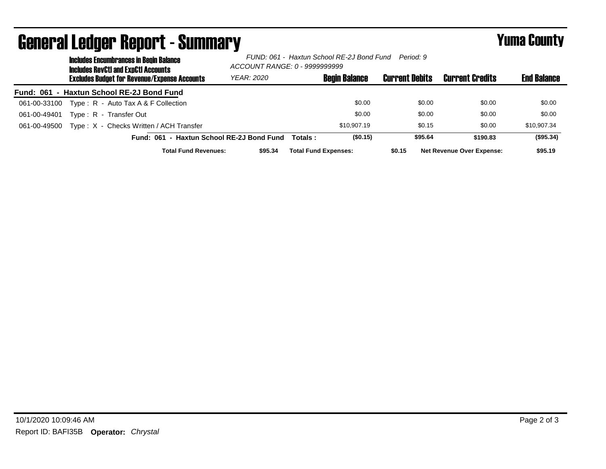|                  | <b>Includes Encumbrances in Begin Balance</b><br><b>Includes RevCtI and ExpCtI Accounts</b> | FUND: 061 -  Haxtun School RE-2J Bond Fund<br>Period: 9<br>ACCOUNT RANGE: 0 - 9999999999 |                             |                      |                       |                                  |                    |
|------------------|---------------------------------------------------------------------------------------------|------------------------------------------------------------------------------------------|-----------------------------|----------------------|-----------------------|----------------------------------|--------------------|
|                  | <b>Excludes Budget for Revenue/Expense Accounts</b>                                         | YEAR: 2020                                                                               |                             | <b>Begin Balance</b> | <b>Current Debits</b> | <b>Current Credits</b>           | <b>End Balance</b> |
| <b>Fund: 061</b> | - Haxtun School RE-2J Bond Fund                                                             |                                                                                          |                             |                      |                       |                                  |                    |
| 061-00-33100     | Type: $R -$ Auto Tax A & F Collection                                                       |                                                                                          |                             | \$0.00               | \$0.00                | \$0.00                           | \$0.00             |
| 061-00-49401     | Type: R - Transfer Out                                                                      |                                                                                          |                             | \$0.00               | \$0.00                | \$0.00                           | \$0.00             |
| 061-00-49500     | Type: X - Checks Written / ACH Transfer                                                     |                                                                                          |                             | \$10,907.19          | \$0.15                | \$0.00                           | \$10,907.34        |
|                  | Fund: 061 - Haxtun School RE-2J Bond Fund                                                   |                                                                                          | Totals:                     | (\$0.15)             | \$95.64               | \$190.83                         | (\$95.34)          |
|                  | <b>Total Fund Revenues:</b>                                                                 | \$95.34                                                                                  | <b>Total Fund Expenses:</b> |                      | \$0.15                | <b>Net Revenue Over Expense:</b> | \$95.19            |

## General Ledger Report - Summary **Example 2018** Yuma County